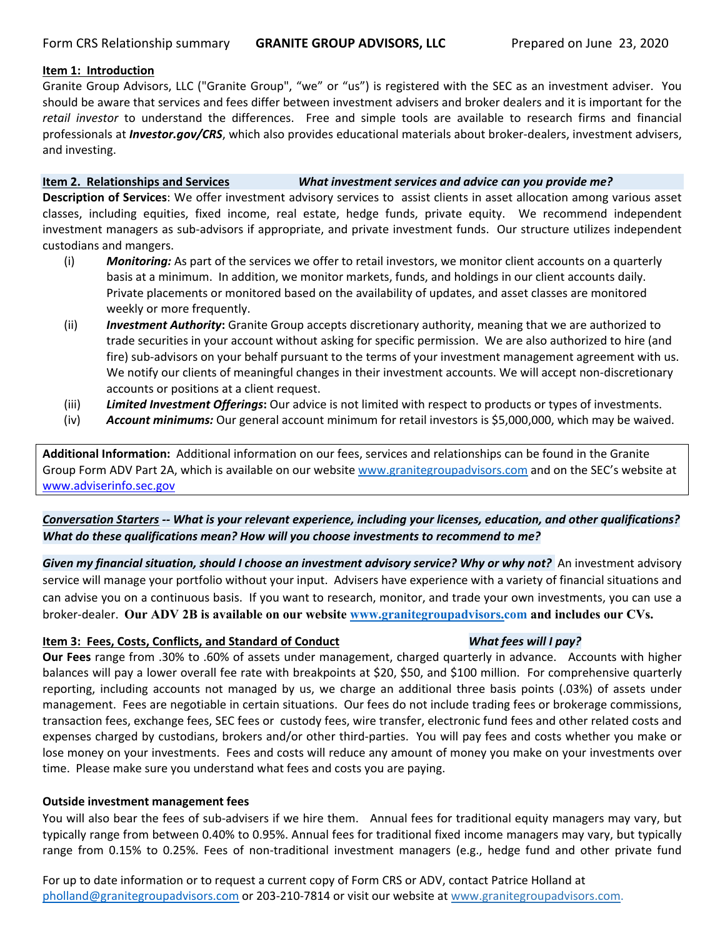#### **Item 1: Introduction**

Granite Group Advisors, LLC ("Granite Group", "we" or "us") is registered with the SEC as an investment adviser. You should be aware that services and fees differ between investment advisers and broker dealers and it is important for the *retail investor* to understand the differences. Free and simple tools are available to research firms and financial professionals at *Investor.gov/CRS*, which also provides educational materials about broker-dealers, investment advisers, and investing.

**Item 2. Relationships and Services** *What investment services and advice can you provide me?*

**Description of Services**: We offer investment advisory services to assist clients in asset allocation among various asset classes, including equities, fixed income, real estate, hedge funds, private equity. We recommend independent investment managers as sub‐advisors if appropriate, and private investment funds. Our structure utilizes independent custodians and mangers.

- (i) *Monitoring:* As part of the services we offer to retail investors, we monitor client accounts on a quarterly basis at a minimum. In addition, we monitor markets, funds, and holdings in our client accounts daily. Private placements or monitored based on the availability of updates, and asset classes are monitored weekly or more frequently.
- (ii) *Investment Authority***:** Granite Group accepts discretionary authority, meaning that we are authorized to trade securities in your account without asking for specific permission. We are also authorized to hire (and fire) sub‐advisors on your behalf pursuant to the terms of your investment management agreement with us. We notify our clients of meaningful changes in their investment accounts. We will accept non-discretionary accounts or positions at a client request.
- (iii) *Limited Investment Offerings***:** Our advice is not limited with respect to products or types of investments.
- (iv) *Account minimums:* Our general account minimum for retail investors is \$5,000,000, which may be waived.

**Additional Information:** Additional information on our fees, services and relationships can be found in the Granite Group Form ADV Part 2A, which is available on our website www.granitegroupadvisors.com and on the SEC's website at www.adviserinfo.sec.gov

# Conversation Starters -- What is your relevant experience, including your licenses, education, and other qualifications? *What do these qualifications mean? How will you choose investments to recommend to me?*

Given my financial situation, should I choose an investment advisory service? Why or why not? An investment advisory service will manage your portfolio without your input. Advisers have experience with a variety of financial situations and can advise you on a continuous basis. If you want to research, monitor, and trade your own investments, you can use a broker‐dealer. **Our ADV 2B is available on our website www.granitegroupadvisors.com and includes our CVs.**

## **Item 3: Fees, Costs, Conflicts, and Standard of Conduct**   *What fees will I pay?*

**Our Fees** range from .30% to .60% of assets under management, charged quarterly in advance. Accounts with higher balances will pay a lower overall fee rate with breakpoints at \$20, \$50, and \$100 million. For comprehensive quarterly reporting, including accounts not managed by us, we charge an additional three basis points (.03%) of assets under management. Fees are negotiable in certain situations. Our fees do not include trading fees or brokerage commissions, transaction fees, exchange fees, SEC fees or custody fees, wire transfer, electronic fund fees and other related costs and expenses charged by custodians, brokers and/or other third-parties. You will pay fees and costs whether you make or lose money on your investments. Fees and costs will reduce any amount of money you make on your investments over time. Please make sure you understand what fees and costs you are paying.

## **Outside investment management fees**

You will also bear the fees of sub‐advisers if we hire them. Annual fees for traditional equity managers may vary, but typically range from between 0.40% to 0.95%. Annual fees for traditional fixed income managers may vary, but typically range from 0.15% to 0.25%. Fees of non-traditional investment managers (e.g., hedge fund and other private fund

For up to date information or to request a current copy of Form CRS or ADV, contact Patrice Holland at pholland@granitegroupadvisors.com or 203‐210‐7814 or visit our website at www.granitegroupadvisors.com.